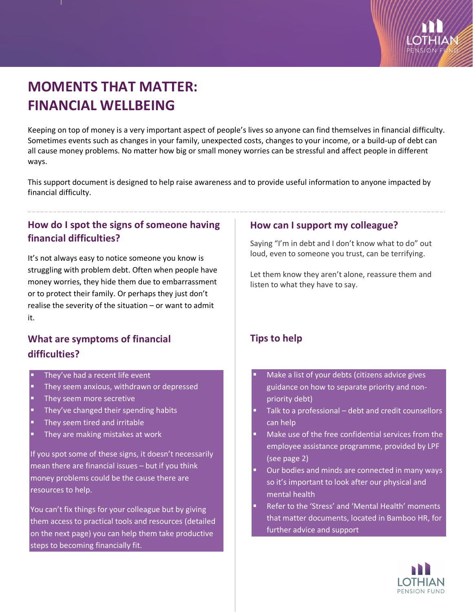

# **MOMENTS THAT MATTER: FINANCIAL WELLBEING**

Keeping on top of money is a very important aspect of people's lives so anyone can find themselves in financial difficulty. Sometimes events such as changes in your family, unexpected costs, changes to your income, or a build-up of debt can all cause money problems. No matter how big or small money worries can be stressful and affect people in different ways.

This support document is designed to help raise awareness and to provide useful information to anyone impacted by financial difficulty.

## **How do I spot the signs of someone having financial difficulties?**

It's not always easy to notice someone you know is struggling with problem debt. Often when people have money worries, they hide them due to embarrassment or to protect their family. Or perhaps they just don't realise the severity of the situation – or want to admit it.

## **What are symptoms of financial difficulties?**

- They've had a recent life event
- **They seem anxious, withdrawn or depressed**
- They seem more secretive
- They've changed their spending habits
- They seem tired and irritable
- They are making mistakes at work

If you spot some of these signs, it doesn't necessarily mean there are financial issues – but if you think money problems could be the cause there are resources to help.

You can't fix things for your colleague but by giving them access to practical tools and resources (detailed on the next page) you can help them take productive steps to becoming financially fit.

#### **How can I support my colleague?**

Saying "I'm in debt and I don't know what to do" out loud, even to someone you trust, can be terrifying.

Let them know they aren't alone, reassure them and listen to what they have to say.

### **Tips to help**

- Make a list of your debts (citizens advice gives guidance on how to separate priority and nonpriority debt)
- Talk to a professional debt and credit counsellors can help
- Make use of the free confidential services from the employee assistance programme, provided by LPF (see page 2)
- Our bodies and minds are connected in many ways so it's important to look after our physical and mental health
- Refer to the 'Stress' and 'Mental Health' moments that matter documents, located in Bamboo HR, for further advice and support